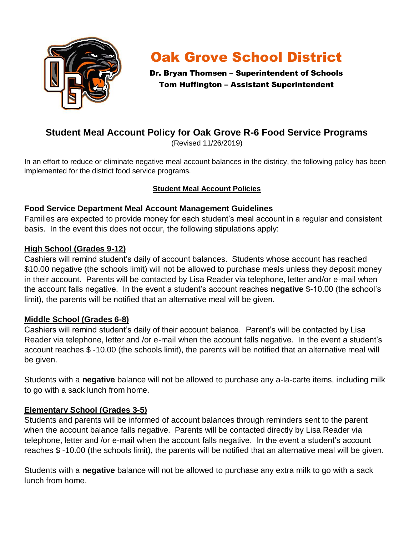

# Oak Grove School District

Dr. Bryan Thomsen – Superintendent of Schools Tom Huffington – Assistant Superintendent

# **Student Meal Account Policy for Oak Grove R-6 Food Service Programs**

(Revised 11/26/2019)

In an effort to reduce or eliminate negative meal account balances in the districy, the following policy has been implemented for the district food service programs.

# **Student Meal Account Policies**

# **Food Service Department Meal Account Management Guidelines**

Families are expected to provide money for each student's meal account in a regular and consistent basis. In the event this does not occur, the following stipulations apply:

#### **High School (Grades 9-12)**

Cashiers will remind student's daily of account balances. Students whose account has reached \$10.00 negative (the schools limit) will not be allowed to purchase meals unless they deposit money in their account. Parents will be contacted by Lisa Reader via telephone, letter and/or e-mail when the account falls negative. In the event a student's account reaches **negative** \$-10.00 (the school's limit), the parents will be notified that an alternative meal will be given.

# **Middle School (Grades 6-8)**

Cashiers will remind student's daily of their account balance. Parent's will be contacted by Lisa Reader via telephone, letter and /or e-mail when the account falls negative. In the event a student's account reaches \$ -10.00 (the schools limit), the parents will be notified that an alternative meal will be given.

Students with a **negative** balance will not be allowed to purchase any a-la-carte items, including milk to go with a sack lunch from home.

# **Elementary School (Grades 3-5)**

Students and parents will be informed of account balances through reminders sent to the parent when the account balance falls negative. Parents will be contacted directly by Lisa Reader via telephone, letter and /or e-mail when the account falls negative. In the event a student's account reaches \$ -10.00 (the schools limit), the parents will be notified that an alternative meal will be given.

Students with a **negative** balance will not be allowed to purchase any extra milk to go with a sack lunch from home.